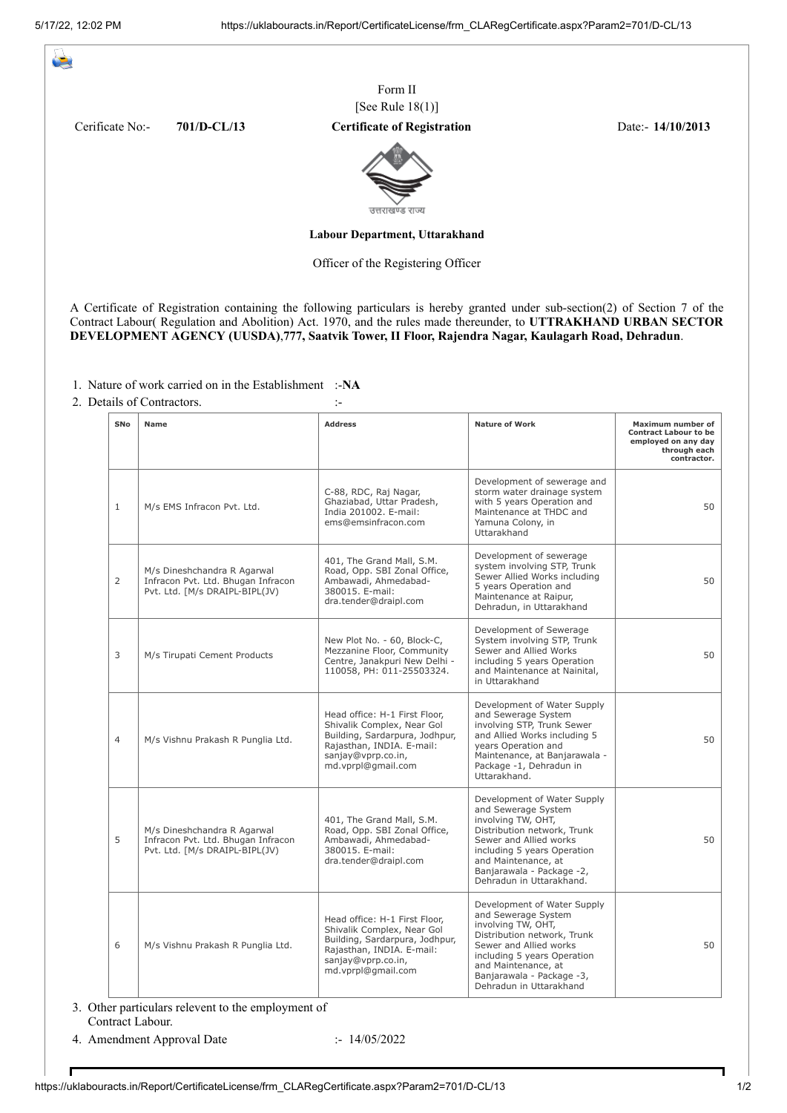يكت

|                                |               | Form II                                                                                                                                                                                                                                                                                                                                                |                   |  |  |  |
|--------------------------------|---------------|--------------------------------------------------------------------------------------------------------------------------------------------------------------------------------------------------------------------------------------------------------------------------------------------------------------------------------------------------------|-------------------|--|--|--|
|                                |               | [See Rule 18(1)]                                                                                                                                                                                                                                                                                                                                       |                   |  |  |  |
| Cerificate No:-                | $701/D-CL/13$ | <b>Certificate of Registration</b>                                                                                                                                                                                                                                                                                                                     | Date:- 14/10/2013 |  |  |  |
|                                |               | उत्तराखण्ड राज्य                                                                                                                                                                                                                                                                                                                                       |                   |  |  |  |
| Labour Department, Uttarakhand |               |                                                                                                                                                                                                                                                                                                                                                        |                   |  |  |  |
|                                |               | Officer of the Registering Officer                                                                                                                                                                                                                                                                                                                     |                   |  |  |  |
|                                |               | A Certificate of Registration containing the following particulars is hereby granted under sub-section(2) of Section 7 of the<br>Contract Labour(Regulation and Abolition) Act. 1970, and the rules made thereunder, to UTTRAKHAND URBAN SECTOR<br>DEVELOPMENT AGENCY (UUSDA), 777, Saatvik Tower, II Floor, Rajendra Nagar, Kaulagarh Road, Dehradun. |                   |  |  |  |

1. Nature of work carried on in the Establishment :-**NA**

2. Details of Contractors.

| SNo            | <b>Name</b>                                                                                         | <b>Address</b>                                                                                                                                                         | <b>Nature of Work</b>                                                                                                                                                                                                                            | Maximum number of<br><b>Contract Labour to be</b><br>employed on any day<br>through each<br>contractor. |
|----------------|-----------------------------------------------------------------------------------------------------|------------------------------------------------------------------------------------------------------------------------------------------------------------------------|--------------------------------------------------------------------------------------------------------------------------------------------------------------------------------------------------------------------------------------------------|---------------------------------------------------------------------------------------------------------|
| $\mathbf{1}$   | M/s EMS Infracon Pvt. Ltd.                                                                          | C-88, RDC, Raj Nagar,<br>Ghaziabad, Uttar Pradesh,<br>India 201002. E-mail:<br>ems@emsinfracon.com                                                                     | Development of sewerage and<br>storm water drainage system<br>with 5 years Operation and<br>Maintenance at THDC and<br>Yamuna Colony, in<br>Uttarakhand                                                                                          | 50                                                                                                      |
| $\overline{2}$ | M/s Dineshchandra R Agarwal<br>Infracon Pvt. Ltd. Bhugan Infracon<br>Pvt. Ltd. [M/s DRAIPL-BIPL(JV) | 401, The Grand Mall, S.M.<br>Road, Opp. SBI Zonal Office,<br>Ambawadi, Ahmedabad-<br>380015. E-mail:<br>dra.tender@draipl.com                                          | Development of sewerage<br>system involving STP, Trunk<br>Sewer Allied Works including<br>5 years Operation and<br>Maintenance at Raipur.<br>Dehradun, in Uttarakhand                                                                            | 50                                                                                                      |
| 3              | M/s Tirupati Cement Products                                                                        | New Plot No. - 60, Block-C,<br>Mezzanine Floor, Community<br>Centre, Janakpuri New Delhi -<br>110058, PH: 011-25503324.                                                | Development of Sewerage<br>System involving STP, Trunk<br>Sewer and Allied Works<br>including 5 years Operation<br>and Maintenance at Nainital,<br>in Uttarakhand                                                                                | 50                                                                                                      |
| $\overline{4}$ | M/s Vishnu Prakash R Punglia Ltd.                                                                   | Head office: H-1 First Floor,<br>Shivalik Complex, Near Gol<br>Building, Sardarpura, Jodhpur,<br>Rajasthan, INDIA. E-mail:<br>sanjay@vprp.co.in,<br>md.vprpl@qmail.com | Development of Water Supply<br>and Sewerage System<br>involving STP, Trunk Sewer<br>and Allied Works including 5<br>years Operation and<br>Maintenance, at Banjarawala -<br>Package -1, Dehradun in<br>Uttarakhand.                              | 50                                                                                                      |
| 5              | M/s Dineshchandra R Agarwal<br>Infracon Pvt. Ltd. Bhugan Infracon<br>Pvt. Ltd. [M/s DRAIPL-BIPL(JV) | 401, The Grand Mall, S.M.<br>Road, Opp. SBI Zonal Office,<br>Ambawadi, Ahmedabad-<br>380015. E-mail:<br>dra.tender@draipl.com                                          | Development of Water Supply<br>and Sewerage System<br>involving TW, OHT,<br>Distribution network, Trunk<br>Sewer and Allied works<br>including 5 years Operation<br>and Maintenance, at<br>Banjarawala - Package -2,<br>Dehradun in Uttarakhand. | 50                                                                                                      |
| 6              | M/s Vishnu Prakash R Punglia Ltd.                                                                   | Head office: H-1 First Floor,<br>Shivalik Complex, Near Gol<br>Building, Sardarpura, Jodhpur,<br>Rajasthan, INDIA. E-mail:<br>sanjay@vprp.co.in,<br>md.vprpl@qmail.com | Development of Water Supply<br>and Sewerage System<br>involving TW, OHT,<br>Distribution network, Trunk<br>Sewer and Allied works<br>including 5 years Operation<br>and Maintenance, at<br>Banjarawala - Package -3,<br>Dehradun in Uttarakhand  | 50                                                                                                      |

3. Other particulars relevent to the employment of Contract Labour.

4. Amendment Approval Date :- 14/05/2022